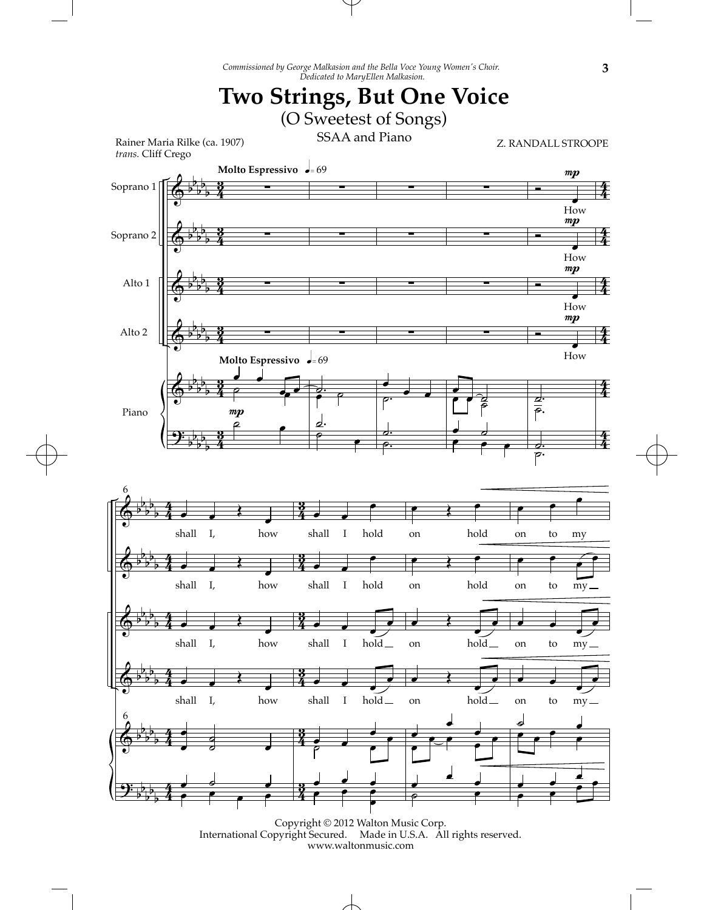*Commissioned by George Malkasion and the Bella Voce Young Women's Choir.*

T



Copyright © 2012 Walton Music Corp. International Copyright Secured. Made in U.S.A. All rights reserved. www.waltonmusic.com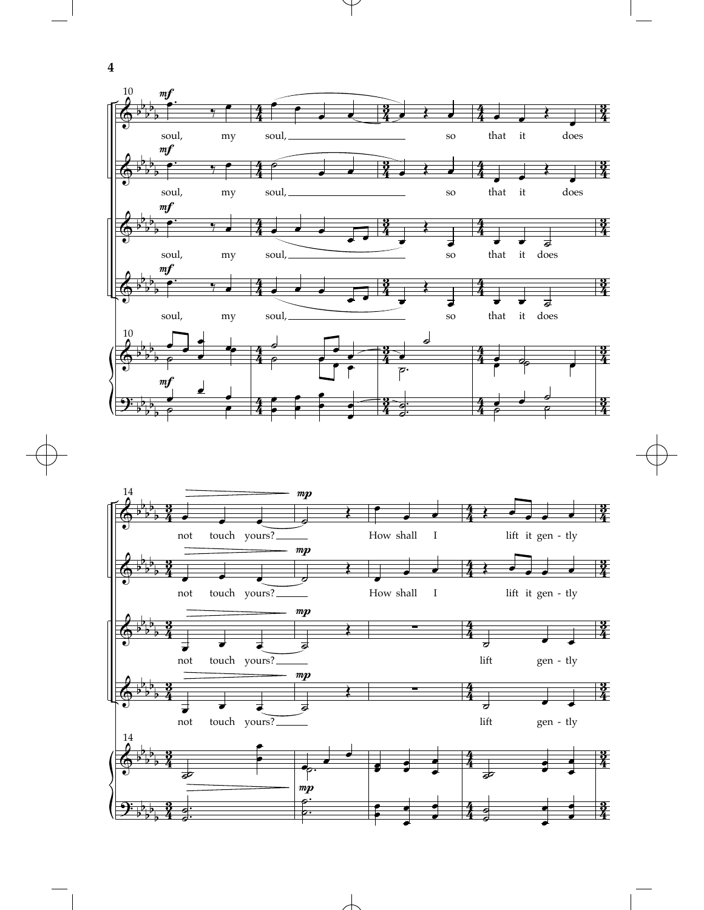

 $\downarrow$ 



 $\overline{\phantom{a}}$ 

**4**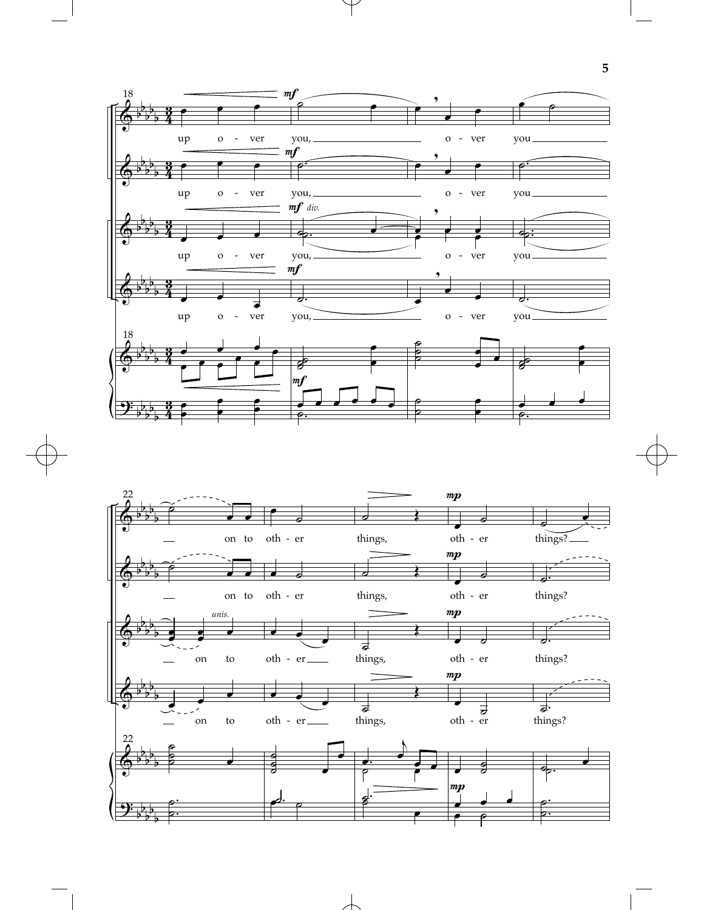

 $\downarrow$ 



 $\overline{\phantom{a}}$ 

**5**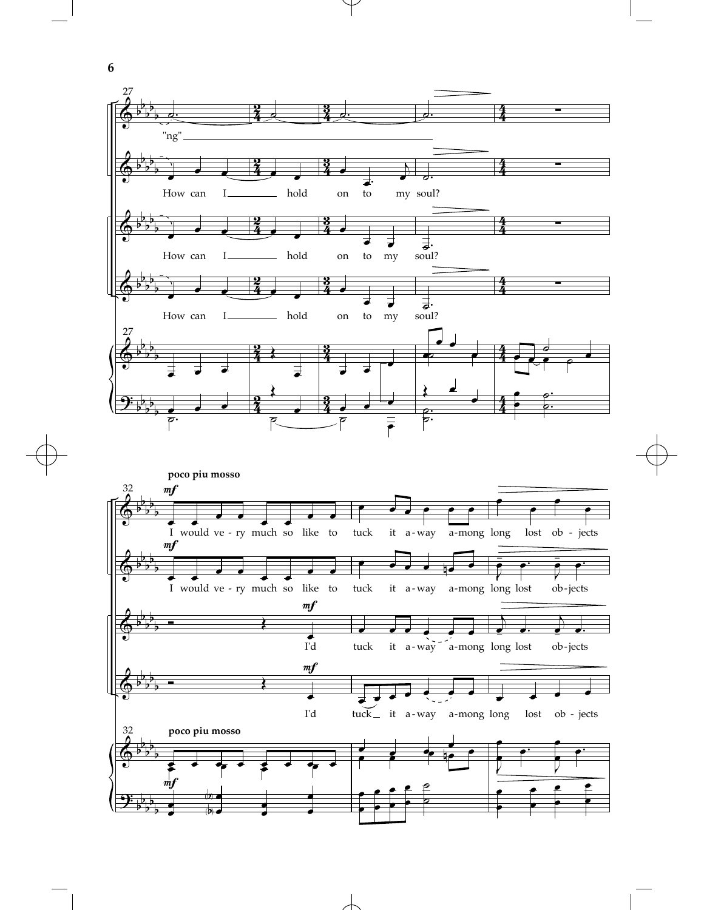

 $\overline{\phantom{a}}$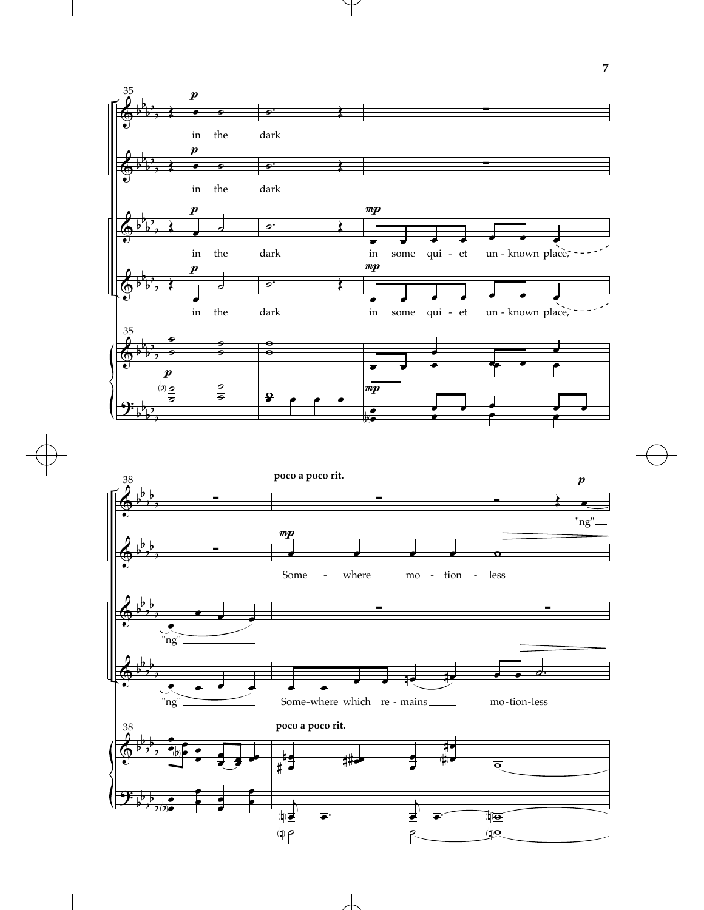